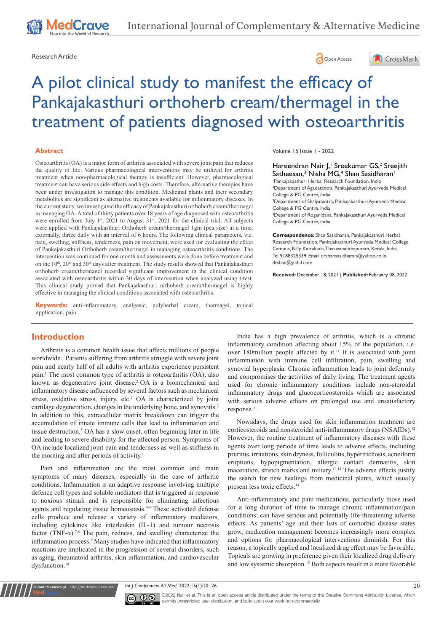





# A pilot clinical study to manifest the efficacy of Pankajakasthuri orthoherb cream/thermagel in the treatment of patients diagnosed with osteoarthritis

#### **Abstract**

Osteoarthritis (OA) is a major form of arthritis associated with severe joint pain that reduces the quality of life. Various pharmacological interventions may be utilized for arthritis treatment when non-pharmacological therapy is insufficient. However, pharmacological treatment can have serious side effects and high costs. Therefore, alternative therapies have been under investigation to manage this condition. Medicinal plants and their secondary metabolites are significant as alternative treatments available for inflammatory diseases. In the current study, we investigated the efficacy of Pankajakasthuri orthoherb cream/thermagel in managing OA. A total of thirty patients over 18 years of age diagnosed with osteoarthritis were enrolled from July 1st, 2021 to August 31st, 2021 for the clinical trial. All subjects were applied with Pankajakasthuri Orthoherb cream/thermagel 1gm (pea size) at a time, externally, thrice daily with an interval of 6 hours. The following clinical parameters, viz. pain, swelling, stiffness, tenderness, pain on movement, were used for evaluating the effect of Pankajakasthuri Orthoherb cream/thermagel in managing osteoarthritis conditions. The intervention was continued for one month and assessments were done before treatment and on the  $10^{th}$ ,  $20^{th}$  and  $30^{th}$  days after treatment. The study results showed that Pankajakasthuri orthoherb cream/thermagel recorded significant improvement in the clinical condition associated with osteoarthritis within 30 days of intervention when analyzed using t-test. This clinical study proved that Pankajakasthuri orthoherb cream/thermagel is highly effective in managing the clinical conditions associated with osteoarthritis.

**Keywords:** anti-inflammatory, analgesic, polyherbal cream, thermagel, topical application, pain

#### Volume 15 Issue 1 - 2022

Hareendran Nair J,<sup>1</sup> Sreekumar GS,<sup>2</sup> Sreejith Satheesan,<sup>3</sup> Nisha MG,<sup>4</sup> Shan Sasidharan<sup>1</sup>

1 Pankajakasthuri Herbal Research Foundation, India 2 Department of Agadatantra, Pankajakasthuri Ayurveda Medical College & PG Centre, India

3 Department of Shalyatantra, Pankajakasthuri Ayurveda Medical College & PG Centre, India

4 Department of Roganidana, Pankajakasthuri Ayurveda Medical College & PG Centre, India

**Correspondence:** Shan Sasidharan, Pankajakasthuri Herbal Research Foundation, Pankajakasthuri Ayurveda Medical College Campus, Killy, Kattakada, Thiruvananthapuram, Kerala, India, Tel 9188325339, Email drshansasidharan@yahoo.co.in, drshan@pkhil.com

**Received:** December 18, 2021 | **Published:** February 08, 2022

# **Introduction**

Arthritis is a common health issue that affects millions of people worldwide.<sup>1</sup> Patients suffering from arthritis struggle with severe joint pain and nearly half of all adults with arthritis experience persistent pain.<sup>1</sup> The most common type of arthritis is osteoarthritis (OA), also known as degenerative joint disease.<sup>2</sup> OA is a biomechanical and inflammatory disease influenced by several factors such as mechanical stress, oxidative stress, injury, etc.<sup>3</sup> OA is characterized by joint cartilage degeneration, changes in the underlying bone, and synovitis.<sup>3</sup> In addition to this, extracellular matrix breakdown can trigger the accumulation of innate immune cells that lead to inflammation and tissue destruction.3 OA has a slow onset, often beginning later in life and leading to severe disability for the affected person. Symptoms of OA include localized joint pain and tenderness as well as stiffness in the morning and after periods of activity.<sup>1</sup>

Pain and inflammation are the most common and main symptoms of many diseases, especially in the case of arthritic conditions. Inflammation is an adaptive response involving multiple defence cell types and soluble mediators that is triggered in response to noxious stimuli and is responsible for eliminating infectious agents and regulating tissue homeostasis.4–6 These activated defense cells produce and release a variety of inflammatory mediators, including cytokines like interleukin (IL-1) and tumour necrosis factor (TNF- $\alpha$ ).<sup>7,8</sup> The pain, redness, and swelling characterize the inflammation process.<sup>9</sup> Many studies have indicated that inflammatory reactions are implicated in the progression of several disorders, such as aging, rheumatoid arthritis, skin inflammation, and cardiovascular dysfunction.<sup>10</sup>

**nit Manuscript** | http://medcraveonline.co

India has a high prevalence of arthritis, which is a chronic inflammatory condition affecting about 15% of the population, i.e. over 180million people affected by it.<sup>11</sup> It is associated with joint inflammation with immune cell infiltration, pain, swelling and synovial hyperplasia. Chronic inflammation leads to joint deformity and compromises the activities of daily living. The treatment agents used for chronic inflammatory conditions include non-steroidal inflammatory drugs and glucocorticosteroids which are associated with serious adverse effects on prolonged use and unsatisfactory response.<sup>11</sup>

Nowadays, the drugs used for skin inflammation treatment are corticosteroids and nonsteroidal anti-inflammatory drugs (NSAIDs).<sup>12</sup> However, the routine treatment of inflammatory diseases with these agents over long periods of time leads to adverse effects, including pruritus, irritations, skin dryness,folliculitis, hypertrichosis, acneiform eruptions, hypopigmentation, allergic contact dermatitis, skin maceration, stretch marks and miliary.12,14 The adverse effects justify the search for new healings from medicinal plants, which usually present less toxic effects.<sup>14</sup>

Anti-inflammatory and pain medications, particularly those used for a long duration of time to manage chronic inflammation/pain conditions; can have serious and potentially life-threatening adverse effects. As patients' age and their lists of comorbid disease states grow, medication management becomes increasingly more complex and options for pharmacological interventions diminish. For this reason, a topically applied and localized drug effect may be favorable. Topicals are growing in preference given their localized drug delivery and low systemic absorption.15 Both aspects result in a more favorable

*Int J Complement Alt Med.* 2022;15(1):20‒26. 20



 $\overline{\mathbf{c}}$   $\overline{\mathbf{c}}$   $\odot$   $\odot$  2022 Nair et al. This is an open access article distributed under the terms of the [Creative Commons Attribution License](https://creativecommons.org/licenses/by-nc/4.0/), which permits unrestricted use, distribution, and build upon your work non-commercially.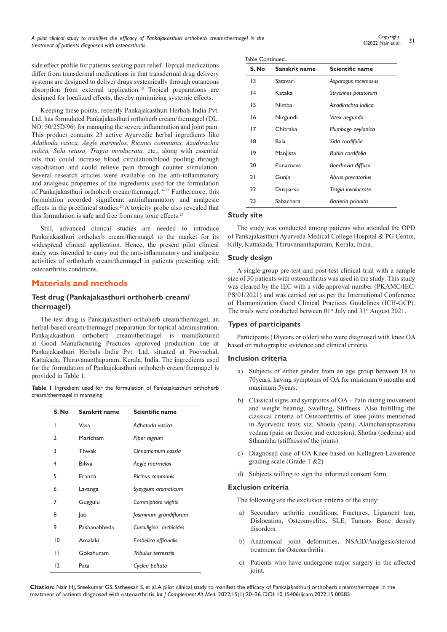side effect profile for patients seeking pain relief. Topical medications differ from transdermal medications in that transdermal drug delivery systems are designed to deliver drugs systemically through cutaneous absorption from external application.<sup>15</sup> Topical preparations are designed for localized effects, thereby minimizing systemic effects.

Keeping these points, recently Pankajakasthuri Herbals India Pvt. Ltd. has formulated Pankajakasthuri orthoherb cream/thermagel (DL. NO: 50/25D/96) for managing the severe inflammation and joint pain. This product contains 23 active Ayurvedic herbal ingredients like *Adathoda vasica, Aegle marmelos, Ricinus communis, Azadirachta indica, Sida retusa, Tragia involucrata,* etc., along with essential oils that could increase blood circulation/blood pooling through vasodilation and could relieve pain through counter stimulation. Several research articles were available on the anti-inflammatory and analgesic properties of the ingredients used for the formulation of Pankajakasthuri orthoherb cream/thermagel.16-25 Furthermore, this formulation recorded significant antiinflammatory and analgesic effects in the preclinical studies.<sup>26</sup>A toxicity probe also revealed that this formulation is safe and free from any toxic effects.<sup>27</sup>

Still, advanced clinical studies are needed to introduce Pankajakasthuri orthoherb cream/thermagel to the market for its widespread clinical application. Hence, the present pilot clinical study was intended to carry out the anti-inflammatory and analgesic activities of orthoherb cream/thermagel in patients presenting with osteoarthritis conditions.

# **Materials and methods**

# **Test drug (Pankajakasthuri orthoherb cream/ thermagel)**

The test drug is Pankajakasthuri orthoherb cream/thermagel, an herbal-based cream/thermagel preparation for topical administration. Pankajakasthuri orthoherb cream/thermagel is manufactured at Good Manufacturing Practices approved production line at Pankajakasthuri Herbals India Pvt. Ltd. situated at Poovachal, Kattakada, Thiruvananthapuram, Kerala, India. The ingredients used for the formulation of Pankajakasthuri orthoherb cream/thermagel is provided in Table 1.

**Table 1** Ingredient used for the formulation of Pankajakasthuri orthoherb cream/thermagel in managing

| S. No        | Sanskrit name | Scientific name         |
|--------------|---------------|-------------------------|
| I            | Vasa          | Adhatoda vasica         |
| $\mathbf{2}$ | Maricham      | Piper nigrum            |
| 3            | Thwak         | Cinnamomum cassia       |
| 4            | <b>Bilwa</b>  | Aegle marmelos          |
| 5            | <b>Franda</b> | Ricinus communis        |
| 6            | Lavanga       | Syzygium aromaticum     |
| 7            | Guggulu       | Commiphora wightii      |
| 8            | <b>J</b> ati  | Jasminum grandiflorum   |
| 9            | Pashanabheda  | Curculiginis orchioides |
| 10           | Amalaki       | Embelica officinalis    |
| П            | Gokshuram     | Tribulus terrestris     |
| 12           | Pata          | Cyclea peltata          |

| S. No | Sanskrit name | Scientific name     |
|-------|---------------|---------------------|
| 13    | Satavari      | Asparagus racemosus |
| 14    | Kataka        | Strychnos potatorum |
| 15    | Nimba         | Azadirachta indica  |
| 16    | Nirgundi      | Vitex negundo       |
| 17    | Chitraka      | Plumbago zeylanica  |
| 18    | Bala          | Sida cordifolia     |
| 19    | Manjista      | Rubia cordifolia    |
| 20    | Punarnava     | Boerhavia diffusa   |
| 21    | Gunja         | Abrus precatorius   |
| 22    | Dusparsa      | Tragia involucrate  |
| 23    | Sahachara     | Barleria prionitis  |

## **Study site**

The study was conducted among patients who attended the OPD of Pankajakasthuri Ayurveda Medical College Hospital & PG Centre, Killy, Kattakada, Thiruvananthapuram, Kerala, India.

## **Study design**

A single-group pre-test and post-test clinical trial with a sample size of 30 patients with osteoarthritis was used in the study. This study was cleared by the IEC with a vide approval number (PKAMC/IEC/ PS/01/2021) and was carried out as per the International Conference of Harmonization Good Clinical Practices Guidelines (ICH-GCP). The trials were conducted between 01<sup>st</sup> July and 31<sup>st</sup> August 2021.

## **Types of participants**

Participants (18years or older) who were diagnosed with knee OA based on radiographic evidence and clinical criteria.

## **Inclusion criteria**

- a) Subjects of either gender from an age group between 18 to 70years, having symptoms of OA for minimum 6 months and maximum 5years.
- b) Classical signs and symptoms of OA Pain during movement and weight bearing, Swelling, Stiffness. Also fulfilling the classical criteria of Osteoarthritis of knee joints mentioned in Ayurvedic texts viz. Shoola (pain), Akunchanaprasarana vedana (pain on flexion and extension), Shotha (oedema) and Sthambha (stiffness of the joints).
- c) Diagnosed case of OA Knee based on Kellegren-Lawerence grading scale (Grade-1 &2)
- d) Subjects willing to sign the informed consent form.

#### **Exclusion criteria**

The following are the exclusion criteria of the study:

- a) Secondary arthritic conditions, Fractures, Ligament tear, Dislocation, Osteomyelitis, SLE, Tumors Bone density disorders.
- b) Anatomical joint deformities, NSAID/Analgesic/steroid treatment for Osteoarthritis.
- c) Patients who have undergone major surgery in the affected joint.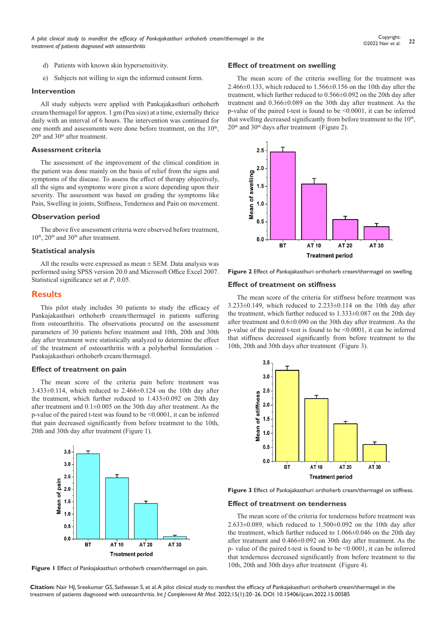- d) Patients with known skin hypersensitivity.
- e) Subjects not willing to sign the informed consent form.

#### **Intervention**

All study subjects were applied with Pankajakasthuri orthoherb cream/thermagel for approx. 1 gm (Pea size) at a time, externally thrice daily with an interval of 6 hours. The intervention was continued for one month and assessments were done before treatment, on the  $10<sup>th</sup>$ ,  $20<sup>th</sup>$  and  $30<sup>th</sup>$  after treatment.

#### **Assessment criteria**

The assessment of the improvement of the clinical condition in the patient was done mainly on the basis of relief from the signs and symptoms of the disease. To assess the effect of therapy objectively, all the signs and symptoms were given a score depending upon their severity. The assessment was based on grading the symptoms like Pain, Swelling in joints, Stiffness, Tenderness and Pain on movement.

#### **Observation period**

The above five assessment criteria were observed before treatment,  $10<sup>th</sup>$ ,  $20<sup>th</sup>$  and  $30<sup>th</sup>$  after treatment.

## **Statistical analysis**

All the results were expressed as mean  $\pm$  SEM. Data analysis was performed using SPSS version 20.0 and Microsoft Office Excel 2007. Statistical significance set at *P*, 0.05.

#### **Results**

This pilot study includes 30 patients to study the efficacy of Pankajakasthuri orthoherb cream/thermagel in patients suffering from osteoarthritis. The observations procured on the assessment parameters of 30 patients before treatment and 10th, 20th and 30th day after treatment were statistically analyzed to determine the effect of the treatment of osteoarthritis with a polyherbal formulation – Pankajakasthuri orthoherb cream/thermagel.

#### **Effect of treatment on pain**

The mean score of the criteria pain before treatment was 3.433±0.114, which reduced to 2.466±0.124 on the 10th day after the treatment, which further reduced to 1.433±0.092 on 20th day after treatment and 0.1±0.005 on the 30th day after treatment. As the p-value of the paired t-test was found to be <0.0001, it can be inferred that pain decreased significantly from before treatment to the 10th, 20th and 30th day after treatment (Figure 1).



**Figure 1** Effect of Pankajakasthuri orthoherb cream/thermagel on pain.

#### **Effect of treatment on swelling**

The mean score of the criteria swelling for the treatment was 2.466 $\pm$ 0.133, which reduced to 1.566 $\pm$ 0.156 on the 10th day after the treatment, which further reduced to 0.566±0.092 on the 20th day after treatment and 0.366±0.089 on the 30th day after treatment. As the p-value of the paired t-test is found to be <0.0001, it can be inferred that swelling decreased significantly from before treatment to the  $10<sup>th</sup>$ ,  $20<sup>th</sup>$  and  $30<sup>th</sup>$  days after treatment (Figure 2).



**Figure 2** Effect of Pankajakasthuri orthoherb cream/thermagel on swelling.

## **Effect of treatment on stiffness**

The mean score of the criteria for stiffness before treatment was  $3.233\pm0.149$ , which reduced to  $2.233\pm0.114$  on the 10th day after the treatment, which further reduced to 1.333±0.087 on the 20th day after treatment and 0.6±0.090 on the 30th day after treatment. As the p-value of the paired t-test is found to be <0.0001, it can be inferred that stiffness decreased significantly from before treatment to the 10th, 20th and 30th days after treatment (Figure 3).



**Figure 3** Effect of Pankajakasthuri orthoherb cream/thermagel on stiffness.

#### **Effect of treatment on tenderness**

The mean score of the criteria for tenderness before treatment was  $2.633\pm0.089$ , which reduced to  $1.500\pm0.092$  on the 10th day after the treatment, which further reduced to 1.066±0.046 on the 20th day after treatment and 0.466±0.092 on 30th day after treatment. As the p- value of the paired t-test is found to be <0.0001, it can be inferred that tenderness decreased significantly from before treatment to the 10th, 20th and 30th days after treatment (Figure 4).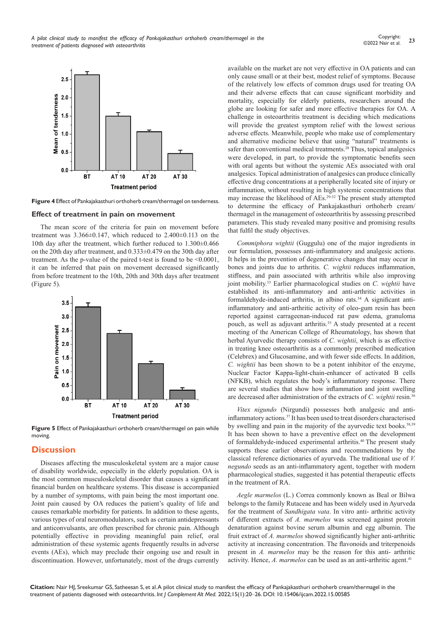

**Figure 4** Effect of Pankajakasthuri orthoherb cream/thermagel on tenderness.

#### **Effect of treatment in pain on movement**

The mean score of the criteria for pain on movement before treatment was 3.366±0.147, which reduced to 2.400±0.113 on the 10th day after the treatment, which further reduced to 1.300±0.466 on the 20th day after treatment, and 0.333±0.479 on the 30th day after treatment. As the p-value of the paired t-test is found to be <0.0001, it can be inferred that pain on movement decreased significantly from before treatment to the 10th, 20th and 30th days after treatment (Figure 5).



**Figure 5** Effect of Pankajakasthuri orthoherb cream/thermagel on pain while moving.

## **Discussion**

Diseases affecting the musculoskeletal system are a major cause of disability worldwide, especially in the elderly population. OA is the most common musculoskeletal disorder that causes a significant financial burden on healthcare systems. This disease is accompanied by a number of symptoms, with pain being the most important one. Joint pain caused by OA reduces the patient's quality of life and causes remarkable morbidity for patients. In addition to these agents, various types of oral neuromodulators, such as certain antidepressants and anticonvulsants, are often prescribed for chronic pain. Although potentially effective in providing meaningful pain relief, oral administration of these systemic agents frequently results in adverse events (AEs), which may preclude their ongoing use and result in discontinuation. However, unfortunately, most of the drugs currently

available on the market are not very effective in OA patients and can only cause small or at their best, modest relief of symptoms. Because of the relatively low effects of common drugs used for treating OA and their adverse effects that can cause significant morbidity and mortality, especially for elderly patients, researchers around the globe are looking for safer and more effective therapies for OA. A challenge in osteoarthritis treatment is deciding which medications will provide the greatest symptom relief with the lowest serious adverse effects. Meanwhile, people who make use of complementary and alternative medicine believe that using "natural" treatments is safer than conventional medical treatments.<sup>28</sup> Thus, topical analgesics were developed, in part, to provide the symptomatic benefits seen with oral agents but without the systemic AEs associated with oral analgesics. Topical administration of analgesics can produce clinically effective drug concentrations at a peripherally located site of injury or inflammation, without resulting in high systemic concentrations that may increase the likelihood of AEs.29-32 The present study attempted to determine the efficacy of Pankajakasthuri orthoherb cream/ thermagel in the management of osteoarthritis by assessing prescribed parameters. This study revealed many positive and promising results that fulfil the study objectives.

*Commiphora wightii* (Guggulu) one of the major ingredients in our formulation, possesses anti-inflammatory and analgesic actions. It helps in the prevention of degenerative changes that may occur in bones and joints due to arthritis. *C. wightii* reduces inflammation, stiffness, and pain associated with arthritis while also improving joint mobility.<sup>33</sup> Earlier pharmacological studies on *C. wightii* have established its anti-inflammatory and anti-arthritic activities in formaldehyde-induced arthritis, in albino rats.<sup>34</sup> A significant antiinflammatory and anti-arthritic activity of oleo-gum resin has been reported against carrageenan-induced rat paw edema, granuloma pouch, as well as adjuvant arthritis.<sup>35</sup> A study presented at a recent meeting of the American College of Rheumatology, has shown that herbal Ayurvedic therapy consists of *C. wightii*, which is as effective in treating knee osteoarthritis as a commonly prescribed medication (Celebrex) and Glucosamine, and with fewer side effects. In addition, *C. wightii* has been shown to be a potent inhibitor of the enzyme, Nuclear Factor Kappa-light-chain-enhancer of activated B cells (NFKB), which regulates the body's inflammatory response. There are several studies that show how inflammation and joint swelling are decreased after administration of the extracts of *C. wightii* resin.36

*Vitex nigundo* (Nirgundi) possesses both analgesic and antiinflammatory actions.<sup>37</sup> It has been used to treat disorders characterised by swelling and pain in the majority of the ayurvedic text books.<sup>38,39</sup> It has been shown to have a preventive effect on the development of formaldehyde-induced experimental arthritis.<sup>40</sup>The present study supports these earlier observations and recommendations by the classical reference dictionaries of ayurveda. The traditional use of *V. negundo* seeds as an anti-inflammatory agent, together with modern pharmacological studies, suggested it has potential therapeutic effects in the treatment of RA.

*Aegle marmelos* (L.) Correa commonly known as Beal or Bilwa belongs to the family Rutaceae and has been widely used in Ayurveda for the treatment of *Sandhigata vata*. In vitro anti- arthritic activity of different extracts of *A. marmelos* was screened against protein denaturation against bovine serum albumin and egg albumin. The fruit extract of *A. marmelos* showed significantly higher anti-arthritic activity at increasing concentration. The flavonoids and triterpenoids present in *A. marmelos* may be the reason for this anti- arthritic activity. Hence, *A. marmelos* can be used as an anti-arthritic agent.<sup>41</sup>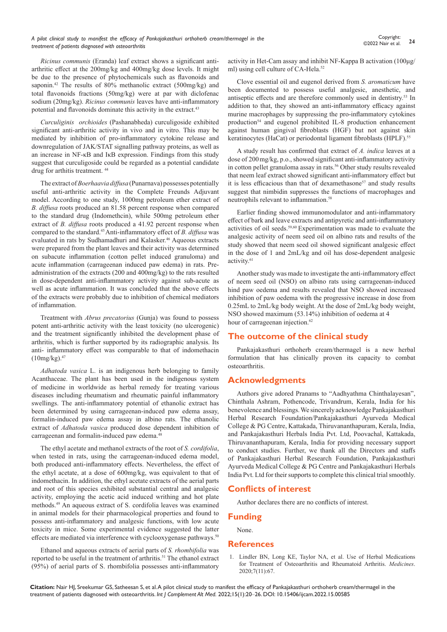*Ricinus communis* (Eranda) leaf extract shows a significant antiarthritic effect at the 200mg/kg and 400mg/kg dose levels. It might be due to the presence of phytochemicals such as flavonoids and saponin.<sup>42</sup> The results of 80% methanolic extract (500mg/kg) and total flavonoids fractions (50mg/kg) were at par with diclofenac sodium (20mg/kg). *Ricinus communis* leaves have anti-inflammatory potential and flavonoids dominate this activity in the extract.<sup>43</sup>

*Curculiginis orchioides* (Pashanabheda) curculigoside exhibited significant anti-arthritic activity in vivo and in vitro. This may be mediated by inhibition of pro-inflammatory cytokine release and downregulation of JAK/STAT signalling pathway proteins, as well as an increase in NF-κB and IκB expression. Findings from this study suggest that curculigoside could be regarded as a potential candidate drug for arthitis treatment. <sup>44</sup>

The extract of *Boerhaavia diffusa* (Punarnava) possesses potentially useful anti-arthritic activity in the Complete Freunds Adjuvant model. According to one study, 1000mg petroleum ether extract of *B. diffusa* roots produced an 81.58 percent response when compared to the standard drug (Indomethcin), while 500mg petroleum ether extract of *B. diffusa* roots produced a 41.92 percent response when compared to the standard.45 Anti-inflammatory effect of *B. diffusa* was evaluated in rats by Sudhamadhuri and Kalasker.<sup>46</sup> Aqueous extracts were prepared from the plant leaves and their activity was determined on subacute inflammation (cotton pellet induced granuloma) and acute inflammation (carrageenan induced paw edema) in rats. Preadministration of the extracts (200 and 400mg/kg) to the rats resulted in dose-dependent anti-inflammatory activity against sub-acute as well as acute inflammation. It was concluded that the above effects of the extracts were probably due to inhibition of chemical mediators of inflammation.

Treatment with *Abrus precatorius* (Gunja) was found to possess potent anti-arthritic activity with the least toxicity (no ulcerogenic) and the treatment significantly inhibited the development phase of arthritis, which is further supported by its radiographic analysis. Its anti- inflammatory effect was comparable to that of indomethacin  $(10mg/kg).47$ 

*Adhatoda vasica* L. is an indigenous herb belonging to family Acanthaceae. The plant has been used in the indigenous system of medicine in worldwide as herbal remedy for treating various diseases including rheumatism and rheumatic painful inflammatory swellings. The anti-inflammatory potential of ethanolic extract has been determined by using carrageenan-induced paw edema assay, formalin-induced paw edema assay in albino rats. The ethanolic extract of *Adhatoda vasica* produced dose dependent inhibition of carrageenan and formalin-induced paw edema.<sup>48</sup>

The ethyl acetate and methanol extracts of the root of *S. cordifolia*, when tested in rats, using the carrageenan-induced edema model, both produced anti-inflammatory effects. Nevertheless, the effect of the ethyl acetate, at a dose of 600mg/kg, was equivalent to that of indomethacin. In addition, the ethyl acetate extracts of the aerial parts and root of this species exhibited substantial central and analgesic activity, employing the acetic acid induced writhing and hot plate methods.49 An aqueous extract of S. cordifolia leaves was examined in animal models for their pharmacological properties and found to possess anti-inflammatory and analgesic functions, with low acute toxicity in mice. Some experimental evidence suggested the latter effects are mediated via interference with cyclooxygenase pathways.<sup>50</sup>

Ethanol and aqueous extracts of aerial parts of *S. rhombifolia* was reported to be useful in the treatment of arthritis.<sup>51</sup> The ethanol extract (95%) of aerial parts of S. rhombifolia possesses anti-inflammatory

activity in Het-Cam assay and inhibit NF-Kappa B activation (100μg/ ml) using cell culture of CA-Hela.<sup>52</sup>

Clove essential oil and eugenol derived from *S. aromaticum* have been documented to possess useful analgesic, anesthetic, and antiseptic effects and are therefore commonly used in dentistry.53 In addition to that, they showed an anti-inflammatory efficacy against murine macrophages by suppressing the pro-inflammatory cytokines production<sup>54</sup> and eugenol prohibited IL-8 production enhancement against human gingival fibroblasts (HGF) but not against skin keratinocytes (HaCat) or periodontal ligament fibroblasts (HPLF).<sup>55</sup>

A study result has confirmed that extract of *A. indica* leaves at a dose of 200mg/kg, p.o., showed significant anti-inflammatory activity in cotton pellet granuloma assay in rats.<sup>56</sup> Other study results revealed that neem leaf extract showed significant anti-inflammatory effect but it is less efficacious than that of dexamethasone<sup>57</sup> and study results suggest that nimbidin suppresses the functions of macrophages and neutrophils relevant to inflammation.58

Earlier finding showed immunomodulator and anti-inflammatory effect of bark and leave extracts and antipyretic and anti-inflammatory activities of oil seeds.59,60 Experimentation was made to evaluate the analgesic activity of neem seed oil on albino rats and results of the study showed that neem seed oil showed significant analgesic effect in the dose of 1 and 2mL/kg and oil has dose-dependent analgesic activity.<sup>61</sup>

Another study was made to investigate the anti-inflammatory effect of neem seed oil (NSO) on albino rats using carrageenan-induced hind paw oedema and results revealed that NSO showed increased inhibition of paw oedema with the progressive increase in dose from 0.25mL to 2mL/kg body weight. At the dose of 2mL/kg body weight, NSO showed maximum (53.14%) inhibition of oedema at 4 hour of carrageenan injection.<sup>62</sup>

# **The outcome of the clinical study**

Pankajakasthuri orthoherb cream/thermagel is a new herbal formulation that has clinically proven its capacity to combat osteoarthritis.

# **Acknowledgments**

Authors give adored Pranams to "Aadhyathma Chinthalayesan", Chinthala Ashram, Pothencode, Trivandrum, Kerala, India for his benevolence and blessings. We sincerely acknowledge Pankajakasthuri Herbal Research Foundation/Pankajakasthuri Ayurveda Medical College & PG Centre, Kattakada, Thiruvananthapuram, Kerala, India, and Pankajakasthuri Herbals India Pvt. Ltd, Poovachal, Kattakada, Thiruvananthapuram, Kerala, India for providing necessary support to conduct studies. Further, we thank all the Directors and staffs of Pankajakasthuri Herbal Research Foundation, Pankajakasthuri Ayurveda Medical College & PG Centre and Pankajakasthuri Herbals India Pvt. Ltd for their supports to complete this clinical trial smoothly.

# **Conflicts of interest**

Author declares there are no conflicts of interest.

## **Funding**

None.

## **References**

1. [Lindler BN, Long KE, Taylor NA, et al. Use of Herbal Medications](https://pubmed.ncbi.nlm.nih.gov/33126603/)  [for Treatment of Osteoarthritis and Rheumatoid Arthritis.](https://pubmed.ncbi.nlm.nih.gov/33126603/) *Medicines*. [2020;7\(11\):67.](https://pubmed.ncbi.nlm.nih.gov/33126603/)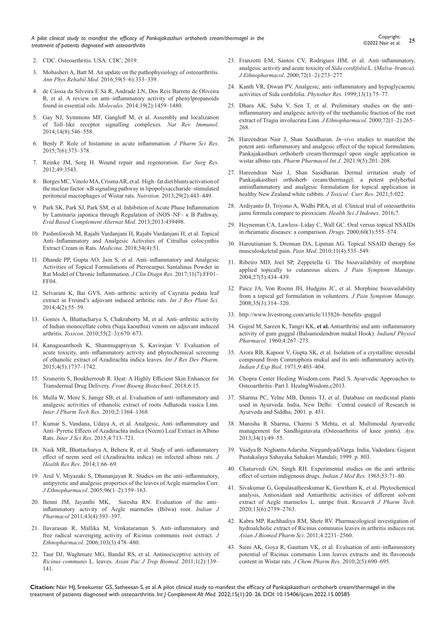*A pilot clinical study to manifest the efficacy of Pankajakasthuri orthoherb cream/thermagel in the treatment of patients diagnosed with osteoarthritis*

2. [CDC. Osteoarthritis. USA: CDC; 2019.](https://www.cdc.gov/arthritis/basics/ osteoarthritis.htm)

- 3. [Mobasheri A, Batt M. An update on the pathophysiology of osteoarthritis.](https://pubmed.ncbi.nlm.nih.gov/27546496/)  *Ann Phys Rehabil Med*[. 2016;59\(5–6\):333–339.](https://pubmed.ncbi.nlm.nih.gov/27546496/)
- 4. [de Cássia da Silveira E Sá R, Andrade LN, Dos Reis Barreto de Oliveira](https://pubmed.ncbi.nlm.nih.gov/24473208/)  [R, et al. A review on anti–inflammatory activity of phenylpropanoids](https://pubmed.ncbi.nlm.nih.gov/24473208/)  found in essential oils. *Molecules*[. 2014;19\(2\):1459–1480.](https://pubmed.ncbi.nlm.nih.gov/24473208/)
- 5. [Gay NJ, Symmons MF, Gangloff M, et al. Assembly and localization](https://pubmed.ncbi.nlm.nih.gov/25060580/)  [of Toll–like receptor signalling complexes.](https://pubmed.ncbi.nlm.nih.gov/25060580/) *Nat Rev Immunol*. [2014;14\(8\):546–558.](https://pubmed.ncbi.nlm.nih.gov/25060580/)
- 6. [Benly P. Role of histamine in acute inflammation](https://www.jpsr.pharmainfo.in/Documents/Volumes/vol7Issue06/jpsr07061526.pdf)*. J Pharm Sci Res*. [2015;7\(6\):373–378.](https://www.jpsr.pharmainfo.in/Documents/Volumes/vol7Issue06/jpsr07061526.pdf)
- 7. [Reinke JM, Sorg H. Wound repair and regeneration.](https://onlinelibrary.wiley.com/journal/1524475x) *Eur Surg Res*. [2012;49:3543.](https://onlinelibrary.wiley.com/journal/1524475x)
- 8. [Borges MC, Vinolo MA, Crisma AR, et al. High–fat diet blunts activation of](https://pubmed.ncbi.nlm.nih.gov/23085013/)  [the nuclear factor–κB signaling pathway in lipopolysaccharide–stimulated](https://pubmed.ncbi.nlm.nih.gov/23085013/)  [peritoneal macrophages of Wistar rats.](https://pubmed.ncbi.nlm.nih.gov/23085013/) *Nutrition*. 2013;29(2):443–449.
- 9. [Park SK, Park SJ, Park SM, et al. Inhibition of Acute Phase Inflammation](https://pubmed.ncbi.nlm.nih.gov/24288559/)  [by Laminaria japonica through Regulation of iNOS–NF– κ B Pathway.](https://pubmed.ncbi.nlm.nih.gov/24288559/)  *[Evid Based Complement Alternat Med](https://pubmed.ncbi.nlm.nih.gov/24288559/)*. 2013;2013:439498.
- 10. [Pashmforosh M, Rajabi Vardanjani H, Rajabi Vardanjani H, et al. Topical](https://pubmed.ncbi.nlm.nih.gov/30344282/)  [Anti–Inflammatory and Analgesic Activities of Citrullus colocynthis](https://pubmed.ncbi.nlm.nih.gov/30344282/)  [Extract Cream in Rats.](https://pubmed.ncbi.nlm.nih.gov/30344282/) *Medicina*. 2018;54(4):51.
- 11. [Dhande PP, Gupta AO, Jain S, et al. Anti–inflammatory and Analgesic](https://pubmed.ncbi.nlm.nih.gov/28892928/)  [Activities of Topical Formulations of Pterocarpus Santalinus Powder in](https://pubmed.ncbi.nlm.nih.gov/28892928/)  [Rat Model of Chronic Inflammation.](https://pubmed.ncbi.nlm.nih.gov/28892928/) *J Clin Diagn Res*. 2017;11(7):FF01– [FF04.](https://pubmed.ncbi.nlm.nih.gov/28892928/)
- 12. Selvarani K, Bai GVS. Anti–arthritic activity of Cayratia pedata leaf extract in Freund's adjuvant induced arthritic rats. *Int J Res Plant Sci*. 2014;4(2):55–59.
- 13. [Gomes A, Bhattacharya S, Chakraborty M, et al. Anti–arthritic activity](https://pubmed.ncbi.nlm.nih.gov/19825384/)  [of Indian monocellate cobra \(Naja kaouthia\) venom on adjuvant induced](https://pubmed.ncbi.nlm.nih.gov/19825384/)  arthritis. *Toxicon*[. 2010;55\(2–3\):670–673.](https://pubmed.ncbi.nlm.nih.gov/19825384/)
- 14. [Kanagasanthosh K, Shanmugapriyan S, Kavirajan V. Evaluation of](https://www.omicsonline.org/peer-reviewed/evaluation-of-acute-toxicity-antiinflammatory-activity-and-phytochemical-screening-of-ethanolic-extract-of-azadirachta-indica-leav-61209.html)  [acute toxicity, anti–inflammatory activity and phytochemical screening](https://www.omicsonline.org/peer-reviewed/evaluation-of-acute-toxicity-antiinflammatory-activity-and-phytochemical-screening-of-ethanolic-extract-of-azadirachta-indica-leav-61209.html)  [of ethanolic extract of Azadirachta indica leaves.](https://www.omicsonline.org/peer-reviewed/evaluation-of-acute-toxicity-antiinflammatory-activity-and-phytochemical-screening-of-ethanolic-extract-of-azadirachta-indica-leav-61209.html) *Int J Res Dev Pharm*. [2015;4\(5\):1737–1742.](https://www.omicsonline.org/peer-reviewed/evaluation-of-acute-toxicity-antiinflammatory-activity-and-phytochemical-screening-of-ethanolic-extract-of-azadirachta-indica-leav-61209.html)
- 15. [Szunerits S, Boukherroub R. Heat: A Highly Efficient Skin Enhancer for](https://www.frontiersin.org/articles/10.3389/fbioe.2018.00015/full#:~:text=Heat%3A A Highly Efficient Skin Enhancer for Transdermal Drug Delivery,-Sabine Szunerits* and&text=Advances in materials science and,the development of personalized medicine.)  [Transdermal Drug Delivery.](https://www.frontiersin.org/articles/10.3389/fbioe.2018.00015/full#:~:text=Heat%3A A Highly Efficient Skin Enhancer for Transdermal Drug Delivery,-Sabine Szunerits* and&text=Advances in materials science and,the development of personalized medicine.) *Front Bioeng Biotechnol*. 2018;6:15.
- 16. [Mulla W, More S, Jamge SB, et al. Evaluation of anti–inflammatory and](https://sphinxsai.com/s_v2_n2/PT_V.2No.2/phamtech_vol2no.2_pdf/PT=60 _1364-1368_.pdf)  [analgesic activities of ethanolic extract of roots Adhatoda vasica Linn.](https://sphinxsai.com/s_v2_n2/PT_V.2No.2/phamtech_vol2no.2_pdf/PT=60 _1364-1368_.pdf)  *[Inter J Pharm Tech Res](https://sphinxsai.com/s_v2_n2/PT_V.2No.2/phamtech_vol2no.2_pdf/PT=60 _1364-1368_.pdf)*. 2010;2:1364–1368.
- 17. [Kumar S, Vandana, Udaya A, et al. Analgesic, Anti–inflammatory and](https://www.ijsr.net/get_abstract.php?paper_id=SUB157156)  [Anti–Pyretic Effects of Azadirachta indica \(Neem\) Leaf Extract in Albino](https://www.ijsr.net/get_abstract.php?paper_id=SUB157156)  Rats. *Inter J Sci Res*[. 2015;4:713–721.](https://www.ijsr.net/get_abstract.php?paper_id=SUB157156)
- 18. Naik MR, Bhattacharya A, Behera R, et al. Study of anti–inflammatory effect of neem seed oil (Azadirachta indica) on infected albino rats. *J Health Res Rev*. 2014;1:66–69.
- 19. [Arul V, Miyazaki S, Dhananjayan R. Studies on the anti–inflammatory,](https://www.proquest.com/docview/1849383464)  [antipyretic and analgesic properties of the leaves of Aegle marmelos Corr.](https://www.proquest.com/docview/1849383464)  *J Ethnopharmacol*[. 2005;96\(1–2\):159–163.](https://www.proquest.com/docview/1849383464)
- 20. [Benni JM, Jayanthi MK, Suresha RN. Evaluation of the anti–](https://pubmed.ncbi.nlm.nih.gov/21844992/) [inflammatory activity of Aegle marmelos \(Bilwa\) root.](https://pubmed.ncbi.nlm.nih.gov/21844992/) *Indian J Pharmacol* [2011;43\(4\):393–397.](https://pubmed.ncbi.nlm.nih.gov/21844992/)
- 21. [Ilavarasan R, Mallika M, Venkataraman S. Anti–inflammatory and](https://pubmed.ncbi.nlm.nih.gov/16310994/)  [free radical scavenging activity of Ricinus communis root extract.](https://pubmed.ncbi.nlm.nih.gov/16310994/) *J Ethnopharmacol*[. 2006;103\(3\):478–480.](https://pubmed.ncbi.nlm.nih.gov/16310994/)
- 22. [Taur DJ, Waghmare MG, Bandal RS, et al. Antinociceptive activity of](https://pubmed.ncbi.nlm.nih.gov/23569744/)  *Ricinus communis* L. leaves. *[Asian Pac J Trop Biomed](https://pubmed.ncbi.nlm.nih.gov/23569744/)*. 2011;1(2):139– [141.](https://pubmed.ncbi.nlm.nih.gov/23569744/)
- 23. [Franzotti EM, Santos CV, Rodrigues HM, et al. Anti–inflammatory,](https://pubmed.ncbi.nlm.nih.gov/10967481/)  [analgesic activity and acute toxicity of](https://pubmed.ncbi.nlm.nih.gov/10967481/) *Sida cordifolia* L. (*Malva–branca*). *J Ethnopharmacol*[. 2000;72\(1–2\):273–277.](https://pubmed.ncbi.nlm.nih.gov/10967481/)
- 24. [Kanth VR, Diwan PV. Analgesic, anti–inflammatory and hypoglycaemic](https://pubmed.ncbi.nlm.nih.gov/10189958/)  [activities of Sida cordifolia.](https://pubmed.ncbi.nlm.nih.gov/10189958/) *Phytother Res*. 1999;13(1):75–77.
- 25. [Dhara AK, Suba V, Sen T, et al. Preliminary studies on the anti–](https://pubmed.ncbi.nlm.nih.gov/10967479/) [inflammatory and analgesic activity of the methanolic fraction of the root](https://pubmed.ncbi.nlm.nih.gov/10967479/)  [extract of Tragia involucrata Linn.](https://pubmed.ncbi.nlm.nih.gov/10967479/) *J Ethnopharmacol*. 2000;72(1–2):265– [268.](https://pubmed.ncbi.nlm.nih.gov/10967479/)
- 26. [Hareendran Nair J, Shan Sasidharan.](https://medcraveonline.com/PPIJ/PPIJ-09-00345.pdf) *In–vivo* studies to manifest the [potent anti–inflammatory and analgesic effect of the topical formulation,](https://medcraveonline.com/PPIJ/PPIJ-09-00345.pdf)  [Pankajakasthuri orthoherb cream/thermagel upon single application in](https://medcraveonline.com/PPIJ/PPIJ-09-00345.pdf)  wistar albino rats. *[Pharm Pharmacol Int J](https://medcraveonline.com/PPIJ/PPIJ-09-00345.pdf).* 2021:9(5):201-208.
- 27. [Hareendran Nair J, Shan Sasidharan. Dermal irritation study of](https://www.heraldopenaccess.us/article_pdf/66/dermal-irritation-study-of-pankajakasthuri-orthoherb-cream-thermagel-a-potent-polyherbal-anti-inflammatory-and-analgesic-formulation-for-topical-application-in-healthy-new-zealand-white-rabbits.pdf)  [Pankajakasthuri orthoherb cream/thermagel, a potent polyherbal](https://www.heraldopenaccess.us/article_pdf/66/dermal-irritation-study-of-pankajakasthuri-orthoherb-cream-thermagel-a-potent-polyherbal-anti-inflammatory-and-analgesic-formulation-for-topical-application-in-healthy-new-zealand-white-rabbits.pdf)  [antiinflammatory and analgesic formulation for topical application in](https://www.heraldopenaccess.us/article_pdf/66/dermal-irritation-study-of-pankajakasthuri-orthoherb-cream-thermagel-a-potent-polyherbal-anti-inflammatory-and-analgesic-formulation-for-topical-application-in-healthy-new-zealand-white-rabbits.pdf)  [healthy New Zealand white rabbits.](https://www.heraldopenaccess.us/article_pdf/66/dermal-irritation-study-of-pankajakasthuri-orthoherb-cream-thermagel-a-potent-polyherbal-anti-inflammatory-and-analgesic-formulation-for-topical-application-in-healthy-new-zealand-white-rabbits.pdf) *J Toxicol: Curr Res*. 2021;5:022.
- 28. [Ardiyanto D, Triyono A, Widhi PRA, et al. Clinical trial of osteoarthritis](https://www.neliti.com/publications/63727/clinical-trial-of-osteoarthritis-jamu-formula-compare-to-piroxicam)  [jamu formula compare to piroxicam.](https://www.neliti.com/publications/63727/clinical-trial-of-osteoarthritis-jamu-formula-compare-to-piroxicam) *Health Sci J Indones*. 2016;7.
- 29. [Heyneman CA, Lawless–Liday C, Wall GC. Oral versus topical NSAIDs](https://pubmed.ncbi.nlm.nih.gov/11030467/)  [in rheumatic diseases: a comparison.](https://pubmed.ncbi.nlm.nih.gov/11030467/) *Drugs*. 2000;60(3):555–574.
- 30. [Haroutiunian S, Drennan DA, Lipman AG. Topical NSAID therapy for](https://pubmed.ncbi.nlm.nih.gov/20210866/)  musculoskeletal pain. *Pain Med*[. 2010;11\(4\):535–549.](https://pubmed.ncbi.nlm.nih.gov/20210866/)
- 31. [Ribeiro MD, Joel SP, Zeppetella G. The bioavailability of morphine](https://pubmed.ncbi.nlm.nih.gov/15120772)  [applied topically to cutaneous ulcers.](https://pubmed.ncbi.nlm.nih.gov/15120772) *J Pain Symptom Manage*. [2004;27\(5\):434–439.](https://pubmed.ncbi.nlm.nih.gov/15120772)
- 32. [Paice JA, Von Roenn JH, Hudgins JC, et al. Morphine bioavailability](https://pubmed.ncbi.nlm.nih.gov/18178369/)  [from a topical gel formulation in volunteers.](https://pubmed.ncbi.nlm.nih.gov/18178369/) *J Pain Symptom Manage*. [2008;35\(3\):314–320.](https://pubmed.ncbi.nlm.nih.gov/18178369/)
- 33. http://www.livestrong.com/article/115826–benefits–guggul
- 34. Gujral M, Sareen K, Tangri KK, **et al.** [Antiarthritic and anti–inflammatory](https://pubmed.ncbi.nlm.nih.gov/13709695/)  [activity of gum guggul \(Balsamodendron mukul Hook\).](https://pubmed.ncbi.nlm.nih.gov/13709695/) *IndianJ Physiol Pharmacol*[. 1960;4:267–273.](https://pubmed.ncbi.nlm.nih.gov/13709695/)
- 35. [Arora RB, Kapoor V, Gupta SK, et al. Isolation of a crystalline steroidal](https://pubmed.ncbi.nlm.nih.gov/5144347/)  [compound from Commiphora mukul and its anti–inflammatory activity.](https://pubmed.ncbi.nlm.nih.gov/5144347/)  *Indian J Exp Biol*[. 1971;9:403–404.](https://pubmed.ncbi.nlm.nih.gov/5144347/)
- 36. Chopra Center Healing Wisdom.com. Patel S. Ayurvedic Approaches to Osteoarthritis–Part I. HealngWisdom.c2013.
- 37. [Sharma PC, Yelne MB, Dennis TJ, et al. Database on medicinal plants](https://agris.fao.org/agris-search/search.do?recordID=US201300132829)  [used in Ayurveda. India, New Delhi: Central council of Research in](https://agris.fao.org/agris-search/search.do?recordID=US201300132829)  [Ayurveda and Siddha; 2001. p. 451.](https://agris.fao.org/agris-search/search.do?recordID=US201300132829)
- 38. [Manisha R Sharma, Charmi S Mehta, et al. Multimodal Ayurvedic](https://pubmed.ncbi.nlm.nih.gov/24049405/)  [management for Sandhigatavata \(Osteoarthritis of knee joints\).](https://pubmed.ncbi.nlm.nih.gov/24049405/) *Ayu*. [2013;34\(1\):49–55.](https://pubmed.ncbi.nlm.nih.gov/24049405/)
- 39. Vaidya B. Nighantu Adarsha. NirgundyadiVarga. India, Vadodara: Gujarat Pustakalaya Sahayaka Sahakari Mandali; 1999. p. 803.
- 40. [Chaturvedi GN, Singh RH. Experimental studies on the anti arthritic](https://pubmed.ncbi.nlm.nih.gov/14266449/)  [effect of certain indigenous drugs.](https://pubmed.ncbi.nlm.nih.gov/14266449/) *Indian J Med Res*. 1965;53:71–80.
- 41. [Sivakumar G, Gopalasatheeskumar K, Gowtham K, et al. Phytochemical](https://rjptonline.org/AbstractView.aspx?PID=2020-13-6-40)  [analysis, Antioxidant and Antiarthritic activities of different solvent](https://rjptonline.org/AbstractView.aspx?PID=2020-13-6-40)  [extract of Aegle marmelos L. unripe fruit. R](https://rjptonline.org/AbstractView.aspx?PID=2020-13-6-40)*esearch J Pharm Tech*. [2020;13\(6\):2759–2763.](https://rjptonline.org/AbstractView.aspx?PID=2020-13-6-40)
- 42. [Kabra MP, Rachhadiya RM, Shete RV. Pharmacological investigation of](https://www.cabdirect.org/globalhealth/abstract/20123013220)  [hydroalcholic extract of Ricinus communis leaves in arthritis induces rat.](https://www.cabdirect.org/globalhealth/abstract/20123013220)  *[Asian J Biomed Pharm Sci](https://www.cabdirect.org/globalhealth/abstract/20123013220)*. 2011;4:2231–2560.
- 43. [Saini AK, Goya R, Gauttam VK, et al. Evaluation of anti–inflammatory](https://www.jocpr.com/articles/evaluation-of-antiinflammatory-potential-of-ricinus-communis-linn-leaves-extracts-and-its-flavonoids-content-in-wistar-r.pdf)  [potential of Ricinus communis Linn leaves extracts and its flavonoids](https://www.jocpr.com/articles/evaluation-of-antiinflammatory-potential-of-ricinus-communis-linn-leaves-extracts-and-its-flavonoids-content-in-wistar-r.pdf)  [content in Wistar rats.](https://www.jocpr.com/articles/evaluation-of-antiinflammatory-potential-of-ricinus-communis-linn-leaves-extracts-and-its-flavonoids-content-in-wistar-r.pdf) *J Chem Pharm Res*. 2010;2(5):690–695.